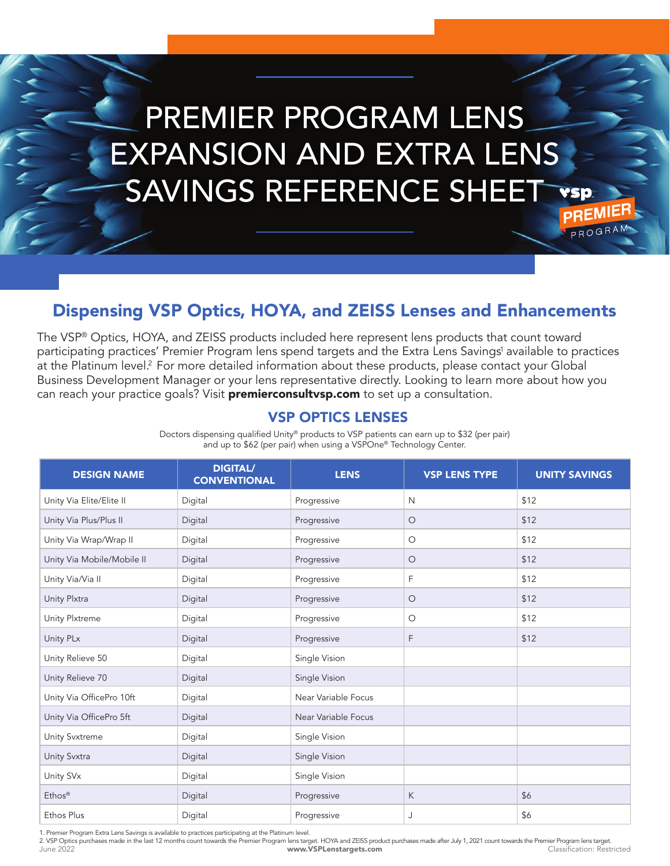# PREMIER PROGRAM LENS EXPANSION AND EXTRA LENS SAVINGS REFERENCE SHEET **PREM**

PROGRA

## Dispensing VSP Optics, HOYA, and ZEISS Lenses and Enhancements

The VSP® Optics, HOYA, and ZEISS products included here represent lens products that count toward participating practices' Premier Program lens spend targets and the Extra Lens Savings' available to practices at the Platinum level.<sup>2</sup> For more detailed information about these products, please contact your Global Business Development Manager or your lens representative directly. Looking to learn more about how you can reach your practice goals? Visit **premierconsultvsp.com** to set up a consultation.

#### VSP OPTICS LENSES

Doctors dispensing qualified Unity® products to VSP patients can earn up to \$32 (per pair) and up to \$62 (per pair) when using a VSPOne® Technology Center.

| <b>DESIGN NAME</b>         | <b>DIGITAL/</b><br><b>CONVENTIONAL</b> | <b>LENS</b>         | <b>VSP LENS TYPE</b> | <b>UNITY SAVINGS</b> |
|----------------------------|----------------------------------------|---------------------|----------------------|----------------------|
| Unity Via Elite/Elite II   | Digital                                | Progressive         | $\mathsf{N}$         | \$12                 |
| Unity Via Plus/Plus II     | Digital                                | Progressive         | $\circ$              | \$12                 |
| Unity Via Wrap/Wrap II     | Digital                                | Progressive         | $\circ$              | \$12                 |
| Unity Via Mobile/Mobile II | Digital                                | Progressive         | $\bigcirc$           | \$12                 |
| Unity Via/Via II           | Digital                                | Progressive         | F                    | \$12                 |
| Unity Plxtra               | Digital                                | Progressive         | $\circ$              | \$12                 |
| Unity Plxtreme             | Digital                                | Progressive         | $\circ$              | \$12                 |
| Unity PLx                  | Digital                                | Progressive         | F                    | \$12                 |
| Unity Relieve 50           | Digital                                | Single Vision       |                      |                      |
| Unity Relieve 70           | Digital                                | Single Vision       |                      |                      |
| Unity Via OfficePro 10ft   | Digital                                | Near Variable Focus |                      |                      |
| Unity Via OfficePro 5ft    | Digital                                | Near Variable Focus |                      |                      |
| <b>Unity Svxtreme</b>      | Digital                                | Single Vision       |                      |                      |
| Unity Svxtra               | Digital                                | Single Vision       |                      |                      |
| Unity SV <sub>x</sub>      | Digital                                | Single Vision       |                      |                      |
| Ethos®                     | Digital                                | Progressive         | К                    | \$6                  |
| Ethos Plus                 | Digital                                | Progressive         | J                    | \$6                  |

1. Premier Program Extra Lens Savings is available to practices participating at the Platinum level.

June 2022 www.VSPLenstargets.com Classification: Restricted 2. VSP Optics purchases made in the last 12 months count towards the Premier Program lens target. HOYA and ZEISS product purchases made after July 1, 2021 count towards the Premier Program lens target.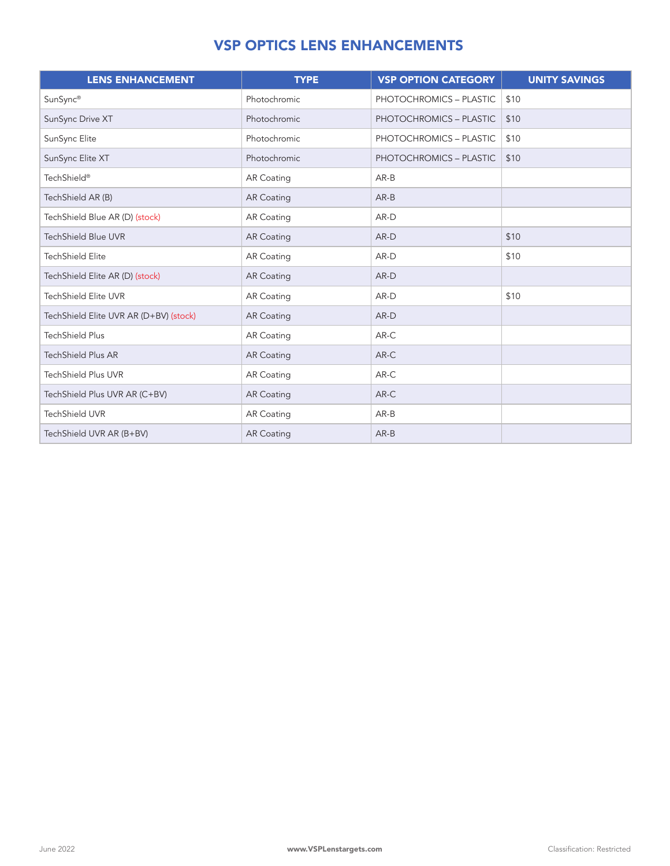#### VSP OPTICS LENS ENHANCEMENTS

| <b>LENS ENHANCEMENT</b>                | <b>TYPE</b>       | <b>VSP OPTION CATEGORY</b> | <b>UNITY SAVINGS</b> |
|----------------------------------------|-------------------|----------------------------|----------------------|
| SunSync®                               | Photochromic      | PHOTOCHROMICS - PLASTIC    | \$10                 |
| SunSync Drive XT                       | Photochromic      | PHOTOCHROMICS - PLASTIC    | \$10                 |
| SunSync Elite                          | Photochromic      | PHOTOCHROMICS - PLASTIC    | \$10                 |
| SunSync Elite XT                       | Photochromic      | PHOTOCHROMICS - PLASTIC    | \$10                 |
| TechShield®                            | <b>AR Coating</b> | $AR-B$                     |                      |
| TechShield AR (B)                      | <b>AR Coating</b> | $AR-B$                     |                      |
| TechShield Blue AR (D) (stock)         | <b>AR Coating</b> | AR-D                       |                      |
| <b>TechShield Blue UVR</b>             | <b>AR Coating</b> | AR-D                       | \$10                 |
| <b>TechShield Elite</b>                | <b>AR Coating</b> | AR-D                       | \$10                 |
| TechShield Elite AR (D) (stock)        | <b>AR Coating</b> | AR-D                       |                      |
| <b>TechShield Elite UVR</b>            | <b>AR Coating</b> | AR-D                       | \$10                 |
| TechShield Elite UVR AR (D+BV) (stock) | <b>AR Coating</b> | AR-D                       |                      |
| <b>TechShield Plus</b>                 | <b>AR Coating</b> | AR-C                       |                      |
| <b>TechShield Plus AR</b>              | <b>AR Coating</b> | $AR-C$                     |                      |
| <b>TechShield Plus UVR</b>             | <b>AR Coating</b> | $AR-C$                     |                      |
| TechShield Plus UVR AR (C+BV)          | <b>AR Coating</b> | $AR-C$                     |                      |
| <b>TechShield UVR</b>                  | <b>AR Coating</b> | $AR-B$                     |                      |
| TechShield UVR AR (B+BV)               | <b>AR Coating</b> | $AR-B$                     |                      |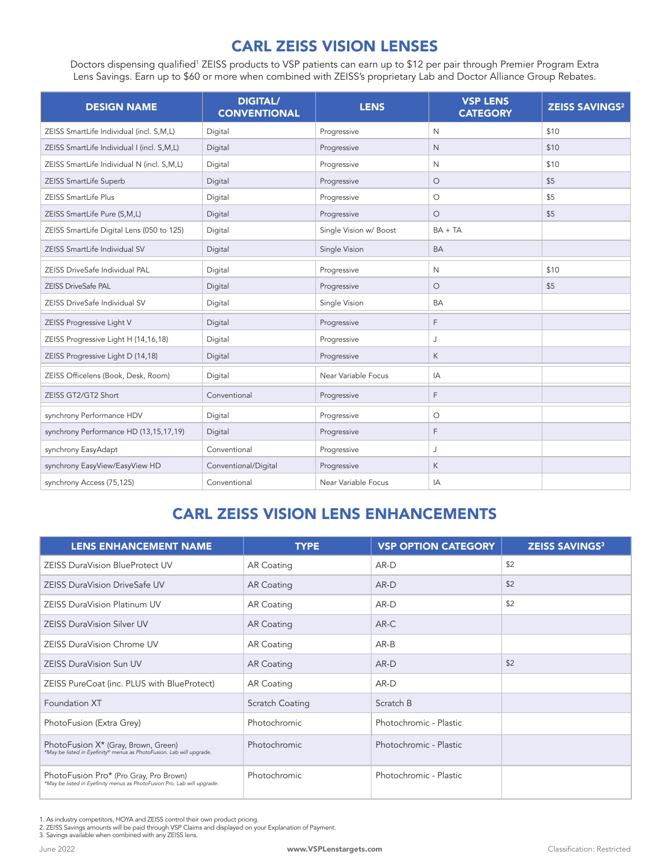## CARL ZEISS VISION LENSES

Doctors dispensing qualified<sup>1</sup> ZEISS products to VSP patients can earn up to \$12 per pair through Premier Program Extra Lens Savings. Earn up to \$60 or more when combined with ZEISS's proprietary Lab and Doctor Alliance Group Rebates.

| <b>DESIGN NAME</b>                         | <b>DIGITAL/</b><br><b>CONVENTIONAL</b> | <b>LENS</b>            | <b>VSP LENS</b><br><b>CATEGORY</b> | <b>ZEISS SAVINGS<sup>2</sup></b> |
|--------------------------------------------|----------------------------------------|------------------------|------------------------------------|----------------------------------|
| ZEISS SmartLife Individual (incl. S,M,L)   | Digital                                | Progressive            | $\mathsf{N}$                       | \$10                             |
| ZEISS SmartLife Individual I (incl. S,M,L) | Digital                                | Progressive            | $\mathsf{N}$                       | \$10                             |
| ZEISS SmartLife Individual N (incl. S,M,L) | Digital                                | Progressive            | $\mathsf{N}$                       | \$10                             |
| ZEISS SmartLife Superb                     | Digital                                | Progressive            | $\circ$                            | \$5                              |
| ZEISS SmartLife Plus                       | Digital                                | Progressive            | $\circlearrowright$                | \$5                              |
| ZEISS SmartLife Pure (S,M,L)               | Digital                                | Progressive            | O                                  | \$5                              |
| ZEISS SmartLife Digital Lens (050 to 125)  | Digital                                | Single Vision w/ Boost | $BA + TA$                          |                                  |
| ZEISS SmartLife Individual SV              | Digital                                | Single Vision          | <b>BA</b>                          |                                  |
| ZEISS DriveSafe Individual PAL             | Digital                                | Progressive            | N                                  | \$10                             |
| <b>ZEISS DriveSafe PAL</b>                 | Digital                                | Progressive            | $\circ$                            | \$5                              |
| ZEISS DriveSafe Individual SV              | Digital                                | Single Vision          | <b>BA</b>                          |                                  |
| ZEISS Progressive Light V                  | Digital                                | Progressive            | F                                  |                                  |
| ZEISS Progressive Light H (14,16,18)       | Digital                                | Progressive            | J                                  |                                  |
| ZEISS Progressive Light D (14,18)          | Digital                                | Progressive            | K                                  |                                  |
| ZEISS Officelens (Book, Desk, Room)        | Digital                                | Near Variable Focus    | IA                                 |                                  |
| ZEISS GT2/GT2 Short                        | Conventional                           | Progressive            | F                                  |                                  |
| synchrony Performance HDV                  | Digital                                | Progressive            | О                                  |                                  |
| synchrony Performance HD (13,15,17,19)     | Digital                                | Progressive            | F                                  |                                  |
| synchrony EasyAdapt                        | Conventional                           | Progressive            | J                                  |                                  |
| synchrony EasyView/EasyView HD             | Conventional/Digital                   | Progressive            | K                                  |                                  |
| synchrony Access (75,125)                  | Conventional                           | Near Variable Focus    | IA                                 |                                  |

## CARL ZEISS VISION LENS ENHANCEMENTS

| <b>LENS ENHANCEMENT NAME</b>                                                                                            | <b>TYPE</b>       | <b>VSP OPTION CATEGORY</b> | <b>ZEISS SAVINGS3</b> |
|-------------------------------------------------------------------------------------------------------------------------|-------------------|----------------------------|-----------------------|
| <b>ZEISS DuraVision BlueProtect UV</b>                                                                                  | <b>AR Coating</b> | AR-D                       | \$2                   |
| <b>ZEISS DuraVision DriveSafe UV</b>                                                                                    | <b>AR Coating</b> | $AR-D$                     | \$2                   |
| <b>ZEISS DuraVision Platinum UV</b>                                                                                     | <b>AR Coating</b> | AR-D                       | \$2                   |
| <b>ZEISS DuraVision Silver UV</b>                                                                                       | <b>AR Coating</b> | $AR-C$                     |                       |
| <b>ZEISS DuraVision Chrome UV</b>                                                                                       | <b>AR Coating</b> | $AR-B$                     |                       |
| <b>ZEISS DuraVision Sun UV</b>                                                                                          | <b>AR Coating</b> | $AR-D$                     | \$2                   |
| ZEISS PureCoat (inc. PLUS with BlueProtect)                                                                             | <b>AR Coating</b> | AR-D                       |                       |
| Foundation XT                                                                                                           | Scratch Coating   | Scratch B                  |                       |
| PhotoFusion (Extra Grey)                                                                                                | Photochromic      | Photochromic - Plastic     |                       |
| PhotoFusion X <sup>*</sup> (Gray, Brown, Green)<br>*May be listed in Eyefinity® menus as PhotoFusion. Lab will upgrade. | Photochromic      | Photochromic - Plastic     |                       |
| PhotoFusion Pro* (Pro Gray, Pro Brown)<br>*May be listed in Eyefinity menus as PhotoFusion Pro. Lab will upgrade.       | Photochromic      | Photochromic - Plastic     |                       |

1. As industry competitors, HOYA and ZEISS control their own product pricing.

2. ZEISS Savings amounts will be paid through VSP Claims and displayed on your Explanation of Payment. 3. Savings available when combined with any ZEISS lens.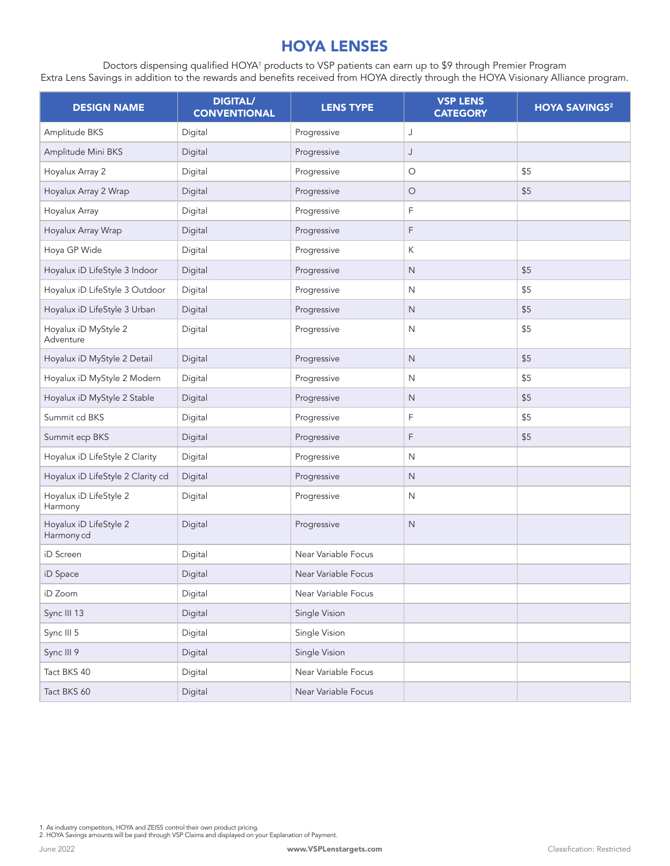#### HOYA LENSES

Doctors dispensing qualified HOYA1 products to VSP patients can earn up to \$9 through Premier Program Extra Lens Savings in addition to the rewards and benefits received from HOYA directly through the HOYA Visionary Alliance program.

| <b>DESIGN NAME</b>                   | <b>DIGITAL/</b><br><b>CONVENTIONAL</b> | <b>LENS TYPE</b>    | <b>VSP LENS</b><br><b>CATEGORY</b> | <b>HOYA SAVINGS<sup>2</sup></b> |
|--------------------------------------|----------------------------------------|---------------------|------------------------------------|---------------------------------|
| Amplitude BKS                        | Digital                                | Progressive         | J                                  |                                 |
| Amplitude Mini BKS                   | Digital                                | Progressive         | J                                  |                                 |
| Hoyalux Array 2                      | Digital                                | Progressive         | O                                  | \$5                             |
| Hoyalux Array 2 Wrap                 | Digital                                | Progressive         | $\circ$                            | \$5                             |
| Hoyalux Array                        | Digital                                | Progressive         | F                                  |                                 |
| Hoyalux Array Wrap                   | Digital                                | Progressive         | F                                  |                                 |
| Hoya GP Wide                         | Digital                                | Progressive         | Κ                                  |                                 |
| Hoyalux iD LifeStyle 3 Indoor        | Digital                                | Progressive         | $\mathsf{N}$                       | \$5                             |
| Hoyalux iD LifeStyle 3 Outdoor       | Digital                                | Progressive         | N                                  | \$5                             |
| Hoyalux iD LifeStyle 3 Urban         | Digital                                | Progressive         | $\mathsf{N}$                       | \$5                             |
| Hoyalux iD MyStyle 2<br>Adventure    | Digital                                | Progressive         | N                                  | \$5                             |
| Hoyalux iD MyStyle 2 Detail          | Digital                                | Progressive         | $\mathsf{N}$                       | \$5                             |
| Hoyalux iD MyStyle 2 Modern          | Digital                                | Progressive         | $\mathsf{N}$                       | \$5                             |
| Hoyalux iD MyStyle 2 Stable          | Digital                                | Progressive         | $\mathsf N$                        | \$5                             |
| Summit cd BKS                        | Digital                                | Progressive         | F                                  | \$5                             |
| Summit ecp BKS                       | Digital                                | Progressive         | F                                  | \$5                             |
| Hoyalux iD LifeStyle 2 Clarity       | Digital                                | Progressive         | $\mathsf{N}$                       |                                 |
| Hoyalux iD LifeStyle 2 Clarity cd    | Digital                                | Progressive         | $\mathsf{N}$                       |                                 |
| Hoyalux iD LifeStyle 2<br>Harmony    | Digital                                | Progressive         | N                                  |                                 |
| Hoyalux iD LifeStyle 2<br>Harmony cd | Digital                                | Progressive         | $\mathsf{N}$                       |                                 |
| iD Screen                            | Digital                                | Near Variable Focus |                                    |                                 |
| iD Space                             | Digital                                | Near Variable Focus |                                    |                                 |
| iD Zoom                              | Digital                                | Near Variable Focus |                                    |                                 |
| Sync III 13                          | Digital                                | Single Vision       |                                    |                                 |
| Sync III 5                           | Digital                                | Single Vision       |                                    |                                 |
| Sync III 9                           | Digital                                | Single Vision       |                                    |                                 |
| Tact BKS 40                          | Digital                                | Near Variable Focus |                                    |                                 |
| Tact BKS 60                          | Digital                                | Near Variable Focus |                                    |                                 |

1. As industry competitors, HOYA and ZEISS control their own product pricing. 2. HOYA Savings amounts will be paid through VSP Claims and displayed on your Explanation of Payment.